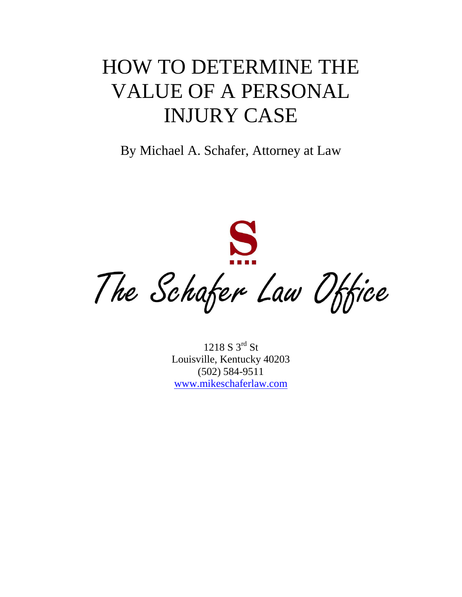## HOW TO DETERMINE THE VALUE OF A PERSONAL INJURY CASE

By Michael A. Schafer, Attorney at Law

S The Schafer Law Office

1218 S 3rd St Louisville, Kentucky 40203 (502) 584-9511 [www.mikeschaferlaw.com](http://www.mikeschaferlaw.com/)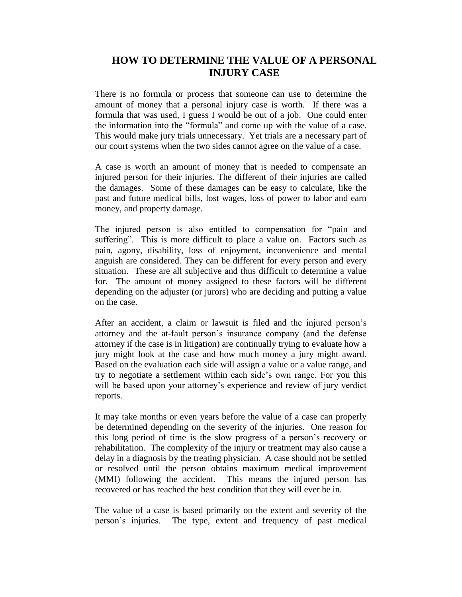## **HOW TO DETERMINE THE VALUE OF A PERSONAL INJURY CASE**

There is no formula or process that someone can use to determine the amount of money that a personal injury case is worth. If there was a formula that was used, I guess I would be out of a job. One could enter the information into the "formula" and come up with the value of a case. This would make jury trials unnecessary. Yet trials are a necessary part of our court systems when the two sides cannot agree on the value of a case.

A case is worth an amount of money that is needed to compensate an injured person for their injuries. The different of their injuries are called the damages. Some of these damages can be easy to calculate, like the past and future medical bills, lost wages, loss of power to labor and earn money, and property damage.

The injured person is also entitled to compensation for "pain and suffering". This is more difficult to place a value on. Factors such as pain, agony, disability, loss of enjoyment, inconvenience and mental anguish are considered. They can be different for every person and every situation. These are all subjective and thus difficult to determine a value for. The amount of money assigned to these factors will be different depending on the adjuster (or jurors) who are deciding and putting a value on the case.

After an accident, a claim or lawsuit is filed and the injured person's attorney and the at-fault person's insurance company (and the defense attorney if the case is in litigation) are continually trying to evaluate how a jury might look at the case and how much money a jury might award. Based on the evaluation each side will assign a value or a value range, and try to negotiate a settlement within each side's own range. For you this will be based upon your attorney's experience and review of jury verdict reports.

It may take months or even years before the value of a case can properly be determined depending on the severity of the injuries. One reason for this long period of time is the slow progress of a person's recovery or rehabilitation. The complexity of the injury or treatment may also cause a delay in a diagnosis by the treating physician. A case should not be settled or resolved until the person obtains maximum medical improvement (MMI) following the accident. This means the injured person has recovered or has reached the best condition that they will ever be in.

The value of a case is based primarily on the extent and severity of the person's injuries. The type, extent and frequency of past medical